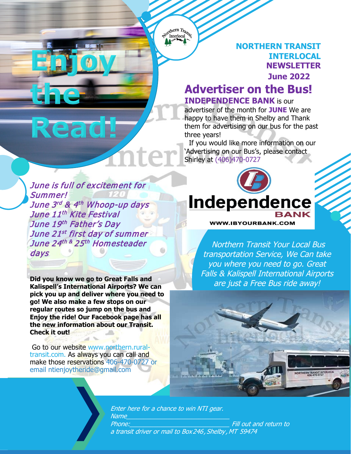Sorthern Trans Interlocal

> **NORTHERN TRANSIT INTERLOCAL NEWSLETTER June 2022**

## **Advertiser on the Bus! INDEPENDENCE BANK** is our

advertiser of the month for **JUNE** We are happy to have them in Shelby and Thank them for advertising on our bus for the past three years!

 If you would like more information on our 'Advertising on our Bus's, please contact Shirley at (406)470-0727

June is full of excitement for Summer! June 3rd & 4th Whoop-up days June 11<sup>th</sup> Kite Festival June 19th Father's Day June 21st first day of summer June 24th & 25th Homesteader days

**PARENT PARENT TEAC** 

**ASSOCIATION 20XX**

Read

**Did you know we go to Great Falls and Kalispell's International Airports? We can pick you up and deliver where you need to go! We also make a few stops on our regular routes so jump on the bus and Enjoy the ride! Our Facebook page has all the new information about our Transit. Check it out!**

Go to our website www.northern.ruraltransit.com. As always you can call and make those reservations 406-470-0727 or email ntienjoytheride@gmail.com



**WWW.IBYOURBANK.COM** 

Northern Transit Your Local Bus transportation Service, We Can take you where you need to go. Great Falls & Kalispell International Airports are just a Free Bus ride away!



Enter here for a chance to win NTI gear. Name Phone: <u>Phone</u>: **Phone:**  $\overline{F}$  Fill out and return to a transit driver or mail to Box246, Shelby , MT 59474